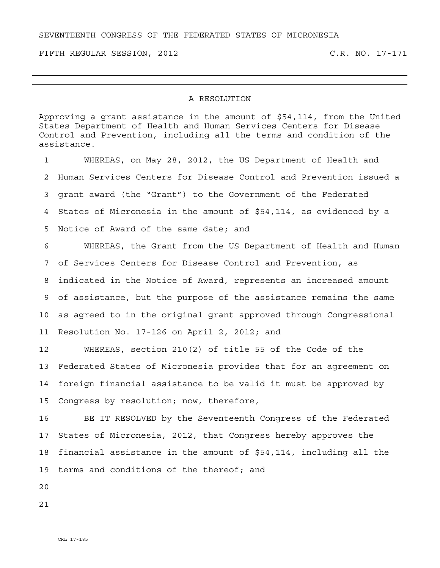SEVENTEENTH CONGRESS OF THE FEDERATED STATES OF MICRONESIA

FIFTH REGULAR SESSION, 2012 C.R. NO. 17-171

## A RESOLUTION

Approving a grant assistance in the amount of \$54,114, from the United States Department of Health and Human Services Centers for Disease Control and Prevention, including all the terms and condition of the assistance.

1 WHEREAS, on May 28, 2012, the US Department of Health and 2 Human Services Centers for Disease Control and Prevention issued a 3 grant award (the "Grant") to the Government of the Federated 4 States of Micronesia in the amount of \$54,114, as evidenced by a 5 Notice of Award of the same date; and 6 WHEREAS, the Grant from the US Department of Health and Human 7 of Services Centers for Disease Control and Prevention, as 8 indicated in the Notice of Award, represents an increased amount 9 of assistance, but the purpose of the assistance remains the same

10 as agreed to in the original grant approved through Congressional

11 Resolution No. 17-126 on April 2, 2012; and

12 WHEREAS, section 210(2) of title 55 of the Code of the 13 Federated States of Micronesia provides that for an agreement on 14 foreign financial assistance to be valid it must be approved by 15 Congress by resolution; now, therefore,

16 BE IT RESOLVED by the Seventeenth Congress of the Federated 17 States of Micronesia, 2012, that Congress hereby approves the 18 financial assistance in the amount of \$54,114, including all the 19 terms and conditions of the thereof; and

 $2.0$ 

21